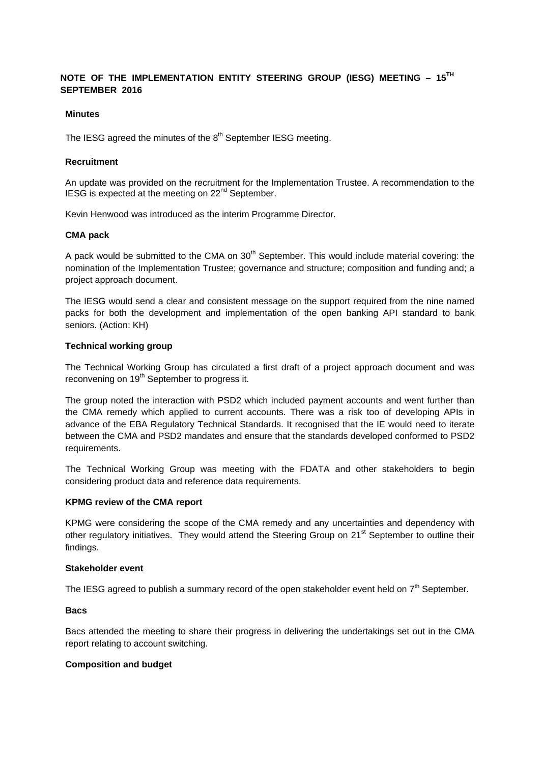## **NOTE OF THE IMPLEMENTATION ENTITY STEERING GROUP (IESG) MEETING – 15TH SEPTEMBER 2016**

## **Minutes**

The IESG agreed the minutes of the  $8<sup>th</sup>$  September IESG meeting.

### **Recruitment**

An update was provided on the recruitment for the Implementation Trustee. A recommendation to the IESG is expected at the meeting on 22<sup>nd</sup> September.

Kevin Henwood was introduced as the interim Programme Director.

#### **CMA pack**

A pack would be submitted to the CMA on  $30<sup>th</sup>$  September. This would include material covering: the nomination of the Implementation Trustee; governance and structure; composition and funding and; a project approach document.

The IESG would send a clear and consistent message on the support required from the nine named packs for both the development and implementation of the open banking API standard to bank seniors. (Action: KH)

## **Technical working group**

The Technical Working Group has circulated a first draft of a project approach document and was reconvening on 19<sup>th</sup> September to progress it.

The group noted the interaction with PSD2 which included payment accounts and went further than the CMA remedy which applied to current accounts. There was a risk too of developing APIs in advance of the EBA Regulatory Technical Standards. It recognised that the IE would need to iterate between the CMA and PSD2 mandates and ensure that the standards developed conformed to PSD2 requirements.

The Technical Working Group was meeting with the FDATA and other stakeholders to begin considering product data and reference data requirements.

#### **KPMG review of the CMA report**

KPMG were considering the scope of the CMA remedy and any uncertainties and dependency with other regulatory initiatives. They would attend the Steering Group on 21<sup>st</sup> September to outline their findings.

#### **Stakeholder event**

The IESG agreed to publish a summary record of the open stakeholder event held on  $7<sup>th</sup>$  September.

#### **Bacs**

Bacs attended the meeting to share their progress in delivering the undertakings set out in the CMA report relating to account switching.

#### **Composition and budget**